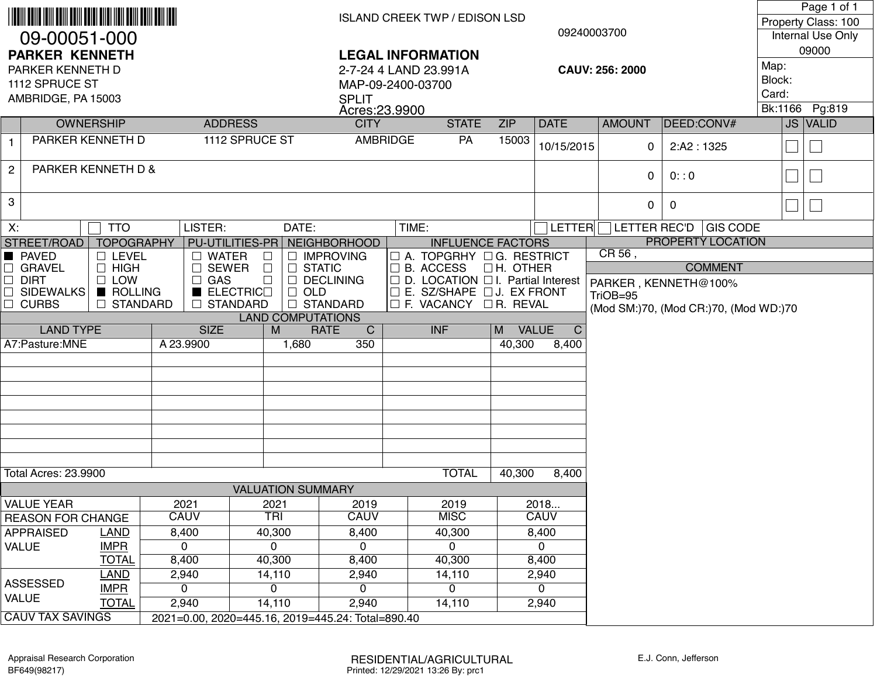|                                      |                                            |                             |                                              |                                     |                                    |                                                                              | <b>ISLAND CREEK TWP / EDISON LSD</b> |            |               |                                       |                 | Page 1 of 1<br>Property Class: 100 |                          |  |  |
|--------------------------------------|--------------------------------------------|-----------------------------|----------------------------------------------|-------------------------------------|------------------------------------|------------------------------------------------------------------------------|--------------------------------------|------------|---------------|---------------------------------------|-----------------|------------------------------------|--------------------------|--|--|
| 09-00051-000                         |                                            |                             |                                              |                                     |                                    |                                                                              |                                      |            | 09240003700   |                                       |                 | Internal Use Only                  |                          |  |  |
| <b>PARKER KENNETH</b>                |                                            |                             |                                              |                                     | <b>LEGAL INFORMATION</b>           |                                                                              |                                      |            |               |                                       |                 | 09000                              |                          |  |  |
| PARKER KENNETH D                     |                                            |                             |                                              |                                     |                                    | 2-7-24 4 LAND 23.991A<br>CAUV: 256: 2000                                     |                                      |            |               |                                       |                 | Map:<br>Block:                     |                          |  |  |
| 1112 SPRUCE ST<br>AMBRIDGE, PA 15003 |                                            |                             |                                              |                                     | MAP-09-2400-03700<br><b>SPLIT</b>  |                                                                              |                                      |            |               |                                       |                 | Card:                              |                          |  |  |
|                                      |                                            |                             |                                              |                                     | Acres: 23.9900                     |                                                                              |                                      |            |               |                                       |                 | Bk:1166                            | Pg:819                   |  |  |
|                                      | <b>OWNERSHIP</b>                           |                             | <b>ADDRESS</b>                               |                                     | <b>CITY</b>                        |                                                                              | <b>STATE</b>                         | <b>ZIP</b> | <b>DATE</b>   | <b>AMOUNT</b>                         | DEED:CONV#      |                                    | JS VALID                 |  |  |
| $\mathbf{1}$                         |                                            | PARKER KENNETH D            |                                              | 1112 SPRUCE ST                      | AMBRIDGE                           |                                                                              | PA                                   | 15003      | 10/15/2015    | 0                                     | 2:AA2:1325      |                                    | $\overline{\phantom{a}}$ |  |  |
| $\mathbf{2}$                         |                                            | PARKER KENNETH D &          |                                              |                                     |                                    |                                                                              |                                      |            |               | $\mathbf{0}$                          | 0: 0            |                                    |                          |  |  |
| 3                                    |                                            |                             |                                              |                                     |                                    |                                                                              |                                      |            |               | $\mathbf{0}$                          | $\mathbf 0$     |                                    | $\overline{\phantom{a}}$ |  |  |
| X:                                   | DATE:<br><b>TTO</b><br>LISTER:             |                             |                                              |                                     |                                    | TIME:                                                                        |                                      |            | <b>LETTER</b> | LETTER REC'D                          | <b>GIS CODE</b> |                                    |                          |  |  |
| STREET/ROAD                          |                                            | <b>TOPOGRAPHY</b>           |                                              | PU-UTILITIES-PR NEIGHBORHOOD        |                                    |                                                                              | <b>INFLUENCE FACTORS</b>             |            |               | PROPERTY LOCATION                     |                 |                                    |                          |  |  |
| <b>PAVED</b>                         |                                            | $\Box$ LEVEL                | $\Box$ WATER                                 |                                     | <b>IMPROVING</b>                   |                                                                              | $\Box$ A. TOPGRHY $\Box$ G. RESTRICT |            |               | CR56,                                 | <b>COMMENT</b>  |                                    |                          |  |  |
| $\Box$ DIRT                          | $\Box$ HIGH<br>$\Box$ GRAVEL<br>$\Box$ LOW |                             |                                              | SEWER<br>$\Box$<br>$\Box$<br>$\Box$ | <b>STATIC</b><br><b>DECLINING</b>  | $\Box$                                                                       | B. ACCESS OH. OTHER                  |            |               |                                       |                 |                                    |                          |  |  |
| □ SIDEWALKS                          |                                            | ROLLING                     | $\Box$ GAS<br>$\blacksquare$ ELECTRIC $\Box$ | OLD                                 |                                    | □ D. LOCATION □ I. Partial Interest<br>$\Box$ E. SZ/SHAPE $\Box$ J. EX FRONT |                                      |            |               | PARKER, KENNETH@100%<br>TriOB=95      |                 |                                    |                          |  |  |
| $\Box$ CURBS                         |                                            | $\Box$ STANDARD             | □ STANDARD                                   |                                     | <b>STANDARD</b>                    |                                                                              | $\Box$ F. VACANCY $\Box$ R. REVAL    |            |               | (Mod SM:)70, (Mod CR:)70, (Mod WD:)70 |                 |                                    |                          |  |  |
|                                      |                                            |                             |                                              | <b>LAND COMPUTATIONS</b>            |                                    |                                                                              |                                      |            |               |                                       |                 |                                    |                          |  |  |
|                                      | <b>LAND TYPE</b>                           |                             | <b>SIZE</b>                                  | M<br>1,680                          | <b>RATE</b><br>$\mathsf{C}$<br>350 |                                                                              | <b>INF</b>                           | M VALUE    | $\mathsf{C}$  |                                       |                 |                                    |                          |  |  |
| A7:Pasture:MNE                       |                                            |                             | A 23.9900                                    |                                     |                                    |                                                                              |                                      | 40,300     | 8,400         |                                       |                 |                                    |                          |  |  |
|                                      |                                            |                             |                                              |                                     |                                    |                                                                              |                                      |            |               |                                       |                 |                                    |                          |  |  |
|                                      |                                            |                             |                                              |                                     |                                    |                                                                              |                                      |            |               |                                       |                 |                                    |                          |  |  |
|                                      |                                            |                             |                                              |                                     |                                    |                                                                              |                                      |            |               |                                       |                 |                                    |                          |  |  |
|                                      |                                            |                             |                                              |                                     |                                    |                                                                              |                                      |            |               |                                       |                 |                                    |                          |  |  |
|                                      |                                            |                             |                                              |                                     |                                    |                                                                              |                                      |            |               |                                       |                 |                                    |                          |  |  |
|                                      |                                            |                             |                                              |                                     |                                    |                                                                              |                                      |            |               |                                       |                 |                                    |                          |  |  |
| <b>Total Acres: 23.9900</b>          |                                            |                             |                                              |                                     |                                    |                                                                              | <b>TOTAL</b>                         | 40,300     | 8,400         |                                       |                 |                                    |                          |  |  |
|                                      |                                            |                             |                                              |                                     |                                    |                                                                              |                                      |            |               |                                       |                 |                                    |                          |  |  |
|                                      | <b>VALUE YEAR</b>                          |                             | 2021                                         | 2021                                |                                    |                                                                              | 2019                                 |            | 2018          |                                       |                 |                                    |                          |  |  |
|                                      | <b>REASON FOR CHANGE</b>                   |                             | <b>CAUV</b>                                  | <b>TRI</b>                          | <b>CAUV</b>                        |                                                                              | <b>MISC</b>                          |            | <b>CAUV</b>   |                                       |                 |                                    |                          |  |  |
|                                      | LAND<br><b>APPRAISED</b>                   |                             | 8,400                                        | 40,300                              | 8,400                              |                                                                              | 40,300                               |            | 8,400         |                                       |                 |                                    |                          |  |  |
| <b>VALUE</b>                         |                                            | <b>IMPR</b><br><b>TOTAL</b> | $\mathbf 0$<br>8,400                         | 0<br>40,300                         | 0<br>8,400                         |                                                                              | $\mathbf{0}$<br>40,300               |            | 0<br>8,400    |                                       |                 |                                    |                          |  |  |
|                                      |                                            | <b>LAND</b>                 | 2,940                                        | 14,110                              | 2,940                              |                                                                              | 14,110                               |            | 2,940         |                                       |                 |                                    |                          |  |  |
| <b>ASSESSED</b>                      |                                            | <b>IMPR</b>                 | $\mathbf{0}$                                 | 0                                   | 0                                  |                                                                              | $\Omega$                             |            | $\Omega$      |                                       |                 |                                    |                          |  |  |
| <b>VALUE</b>                         |                                            | <b>TOTAL</b>                |                                              |                                     |                                    |                                                                              |                                      |            |               |                                       |                 |                                    |                          |  |  |
|                                      |                                            |                             | 2,940                                        | 14,110                              | 2,940                              |                                                                              | 14,110                               |            | 2,940         |                                       |                 |                                    |                          |  |  |